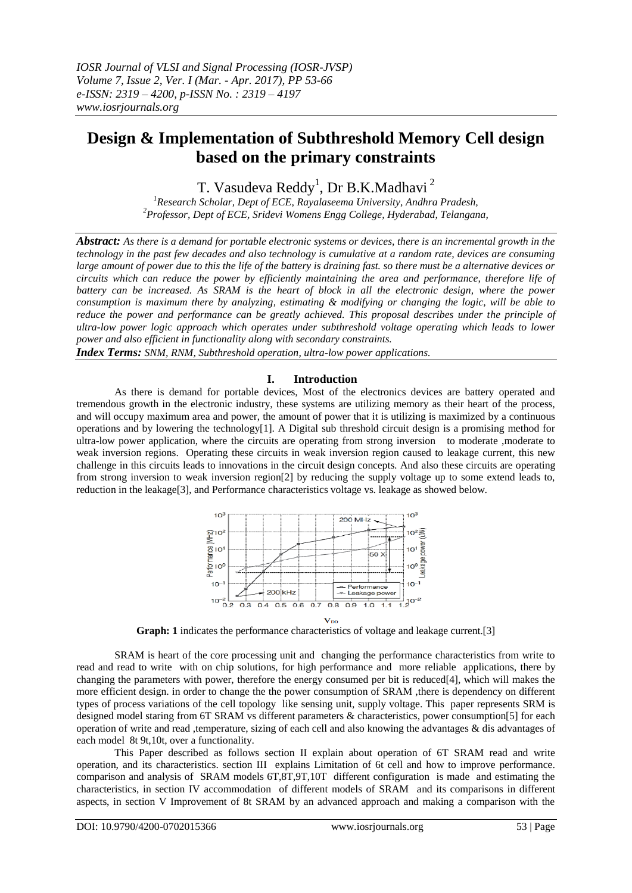# **Design & Implementation of Subthreshold Memory Cell design based on the primary constraints**

T. Vasudeva Reddy<sup>1</sup>, Dr B.K.Madhavi <sup>2</sup>

*<sup>1</sup>Research Scholar, Dept of ECE, Rayalaseema University, Andhra Pradesh, <sup>2</sup>Professor, Dept of ECE, Sridevi Womens Engg College, Hyderabad, Telangana,*

*Abstract: As there is a demand for portable electronic systems or devices, there is an incremental growth in the technology in the past few decades and also technology is cumulative at a random rate, devices are consuming large amount of power due to this the life of the battery is draining fast. so there must be a alternative devices or circuits which can reduce the power by efficiently maintaining the area and performance, therefore life of battery can be increased. As SRAM is the heart of block in all the electronic design, where the power consumption is maximum there by analyzing, estimating & modifying or changing the logic, will be able to reduce the power and performance can be greatly achieved. This proposal describes under the principle of ultra-low power logic approach which operates under subthreshold voltage operating which leads to lower power and also efficient in functionality along with secondary constraints.*

*Index Terms: SNM, RNM, Subthreshold operation, ultra-low power applications.*

## **I. Introduction**

As there is demand for portable devices, Most of the electronics devices are battery operated and tremendous growth in the electronic industry, these systems are utilizing memory as their heart of the process, and will occupy maximum area and power, the amount of power that it is utilizing is maximized by a continuous operations and by lowering the technology[1]. A Digital sub threshold circuit design is a promising method for ultra-low power application, where the circuits are operating from strong inversion to moderate ,moderate to weak inversion regions. Operating these circuits in weak inversion region caused to leakage current, this new challenge in this circuits leads to innovations in the circuit design concepts. And also these circuits are operating from strong inversion to weak inversion region[2] by reducing the supply voltage up to some extend leads to, reduction in the leakage[3], and Performance characteristics voltage vs. leakage as showed below.



**Graph: 1** indicates the performance characteristics of voltage and leakage current.[3]

SRAM is heart of the core processing unit and changing the performance characteristics from write to read and read to write with on chip solutions, for high performance and more reliable applications, there by changing the parameters with power, therefore the energy consumed per bit is reduced[4], which will makes the more efficient design. in order to change the the power consumption of SRAM ,there is dependency on different types of process variations of the cell topology like sensing unit, supply voltage. This paper represents SRM is designed model staring from 6T SRAM vs different parameters & characteristics, power consumption[5] for each operation of write and read ,temperature, sizing of each cell and also knowing the advantages & dis advantages of each model 8t 9t,10t, over a functionality.

This Paper described as follows section II explain about operation of 6T SRAM read and write operation, and its characteristics. section III explains Limitation of 6t cell and how to improve performance. comparison and analysis of SRAM models 6T,8T,9T,10T different configuration is made and estimating the characteristics, in section IV accommodation of different models of SRAM and its comparisons in different aspects, in section V Improvement of 8t SRAM by an advanced approach and making a comparison with the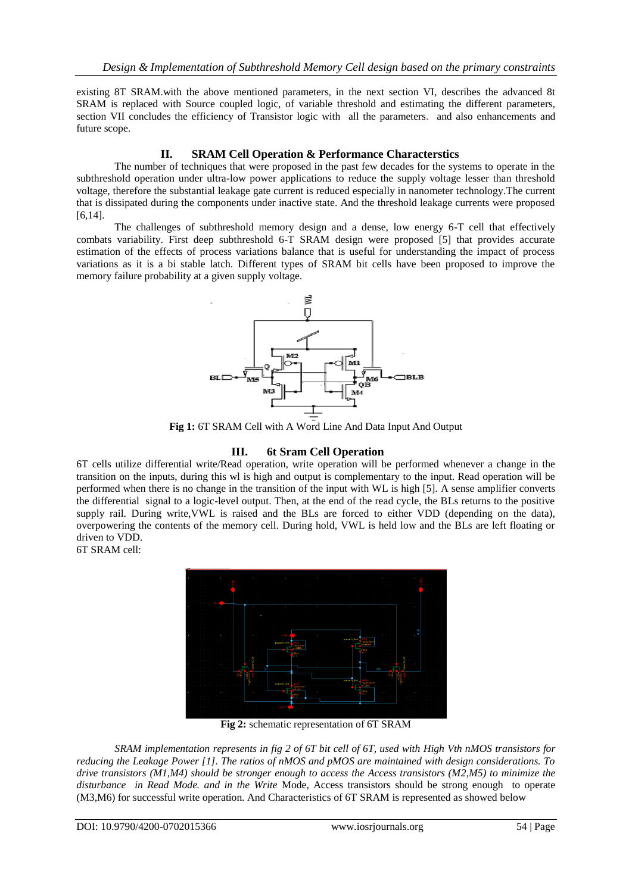existing 8T SRAM.with the above mentioned parameters, in the next section VI, describes the advanced 8t SRAM is replaced with Source coupled logic, of variable threshold and estimating the different parameters, section VII concludes the efficiency of Transistor logic with all the parameters. and also enhancements and future scope.

# **II. SRAM Cell Operation & Performance Characterstics**

The number of techniques that were proposed in the past few decades for the systems to operate in the subthreshold operation under ultra-low power applications to reduce the supply voltage lesser than threshold voltage, therefore the substantial leakage gate current is reduced especially in nanometer technology.The current that is dissipated during the components under inactive state. And the threshold leakage currents were proposed [6,14].

The challenges of subthreshold memory design and a dense, low energy 6-T cell that effectively combats variability. First deep subthreshold 6-T SRAM design were proposed [5] that provides accurate estimation of the effects of process variations balance that is useful for understanding the impact of process variations as it is a bi stable latch. Different types of SRAM bit cells have been proposed to improve the memory failure probability at a given supply voltage.



**Fig 1:** 6T SRAM Cell with A Word Line And Data Input And Output

# **III. 6t Sram Cell Operation**

6T cells utilize differential write/Read operation, write operation will be performed whenever a change in the transition on the inputs, during this wl is high and output is complementary to the input. Read operation will be performed when there is no change in the transition of the input with WL is high [5]. A sense amplifier converts the differential signal to a logic-level output. Then, at the end of the read cycle, the BLs returns to the positive supply rail. During write,VWL is raised and the BLs are forced to either VDD (depending on the data), overpowering the contents of the memory cell. During hold, VWL is held low and the BLs are left floating or driven to VDD.

6T SRAM cell:



**Fig 2:** schematic representation of 6T SRAM

*SRAM implementation represents in fig 2 of 6T bit cell of 6T, used with High Vth nMOS transistors for reducing the Leakage Power [1]. The ratios of nMOS and pMOS are maintained with design considerations. To drive transistors (M1,M4) should be stronger enough to access the Access transistors (M2,M5) to minimize the disturbance in Read Mode. and in the Write* Mode, Access transistors should be strong enough to operate (M3,M6) for successful write operation. And Characteristics of 6T SRAM is represented as showed below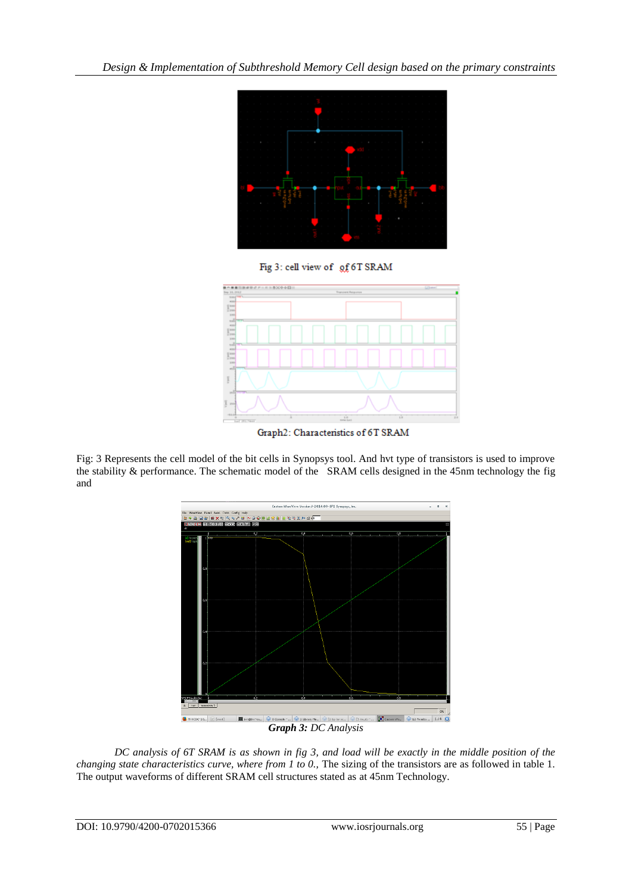

Fig 3: cell view of gf 6T SRAM



Graph2: Characteristics of 6T SRAM

Fig: 3 Represents the cell model of the bit cells in Synopsys tool. And hvt type of transistors is used to improve the stability & performance. The schematic model of the SRAM cells designed in the 45nm technology the fig and



*Graph 3: DC Analysis*

*DC analysis of 6T SRAM is as shown in fig 3, and load will be exactly in the middle position of the changing state characteristics curve, where from 1 to 0.,* The sizing of the transistors are as followed in table 1. The output waveforms of different SRAM cell structures stated as at 45nm Technology.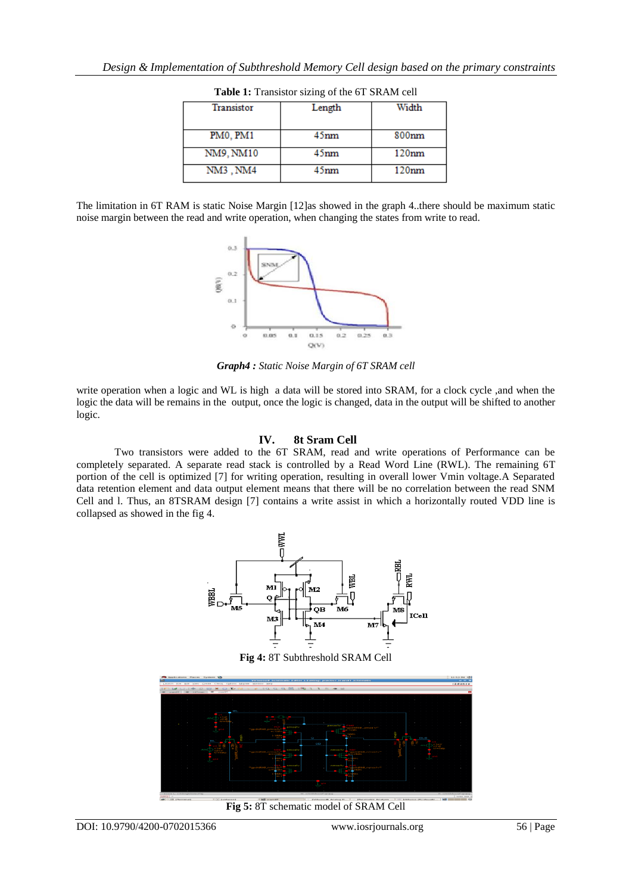| <b>Transistor</b> | Length           | Width             |
|-------------------|------------------|-------------------|
| PM0, PM1          | 45 <sub>mm</sub> | 800 <sub>nm</sub> |
| NM9, NM10         | 45 <sub>nm</sub> | 120nm             |
| NM3, NM4          | 45 <sub>nm</sub> | 120nm             |

**Table 1:** Transistor sizing of the 6T SRAM cell

The limitation in 6T RAM is static Noise Margin [12]as showed in the graph 4..there should be maximum static noise margin between the read and write operation, when changing the states from write to read.



*Graph4 : Static Noise Margin of 6T SRAM cell*

write operation when a logic and WL is high a data will be stored into SRAM, for a clock cycle ,and when the logic the data will be remains in the output, once the logic is changed, data in the output will be shifted to another logic.

## **IV. 8t Sram Cell**

Two transistors were added to the 6T SRAM, read and write operations of Performance can be completely separated. A separate read stack is controlled by a Read Word Line (RWL). The remaining 6T portion of the cell is optimized [7] for writing operation, resulting in overall lower Vmin voltage.A Separated data retention element and data output element means that there will be no correlation between the read SNM Cell and l. Thus, an 8TSRAM design [7] contains a write assist in which a horizontally routed VDD line is collapsed as showed in the fig 4.



**Fig 4:** 8T Subthreshold SRAM Cell



**Fig 5:** 8T schematic model of SRAM Cell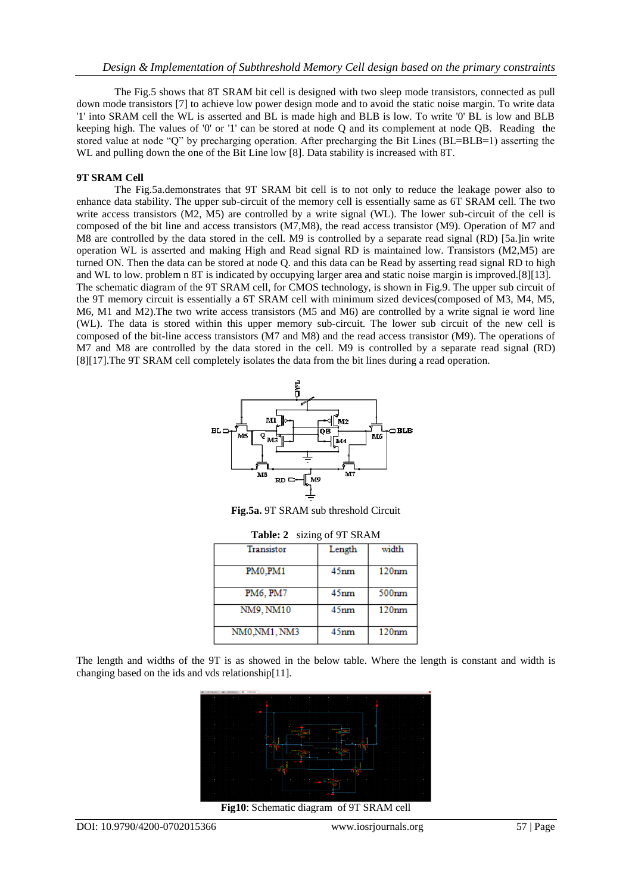The Fig.5 shows that 8T SRAM bit cell is designed with two sleep mode transistors, connected as pull down mode transistors [7] to achieve low power design mode and to avoid the static noise margin. To write data '1' into SRAM cell the WL is asserted and BL is made high and BLB is low. To write '0' BL is low and BLB keeping high. The values of '0' or '1' can be stored at node Q and its complement at node QB. Reading the stored value at node "Q" by precharging operation. After precharging the Bit Lines (BL=BLB=1) asserting the WL and pulling down the one of the Bit Line low [8]. Data stability is increased with 8T.

#### **9T SRAM Cell**

The Fig.5a.demonstrates that 9T SRAM bit cell is to not only to reduce the leakage power also to enhance data stability. The upper sub-circuit of the memory cell is essentially same as 6T SRAM cell. The two write access transistors (M2, M5) are controlled by a write signal (WL). The lower sub-circuit of the cell is composed of the bit line and access transistors (M7,M8), the read access transistor (M9). Operation of M7 and M8 are controlled by the data stored in the cell. M9 is controlled by a separate read signal (RD) [5a.]in write operation WL is asserted and making High and Read signal RD is maintained low. Transistors (M2,M5) are turned ON. Then the data can be stored at node Q. and this data can be Read by asserting read signal RD to high and WL to low. problem n 8T is indicated by occupying larger area and static noise margin is improved.[8][13]. The schematic diagram of the 9T SRAM cell, for CMOS technology, is shown in Fig.9. The upper sub circuit of the 9T memory circuit is essentially a 6T SRAM cell with minimum sized devices(composed of M3, M4, M5, M6, M1 and M2).The two write access transistors (M5 and M6) are controlled by a write signal ie word line (WL). The data is stored within this upper memory sub-circuit. The lower sub circuit of the new cell is composed of the bit-line access transistors (M7 and M8) and the read access transistor (M9). The operations of M7 and M8 are controlled by the data stored in the cell. M9 is controlled by a separate read signal (RD) [8][17].The 9T SRAM cell completely isolates the data from the bit lines during a read operation.



**Fig.5a.** 9T SRAM sub threshold Circuit

| <b>Transistor</b> | Length           | width             |
|-------------------|------------------|-------------------|
| PM0.PM1           | 45 <sub>nm</sub> | 120nm             |
| PM6, PM7          | 45 <sub>nm</sub> | 500 <sub>nm</sub> |
| NM9, NM10         | 45 <sub>nm</sub> | 120nm             |
| NM0.NM1, NM3      | 45 <sub>nm</sub> | 120nm             |

**Table: 2** sizing of 9T SRAM

The length and widths of the 9T is as showed in the below table. Where the length is constant and width is changing based on the ids and vds relationship[11].



**Fig10**: Schematic diagram of 9T SRAM cell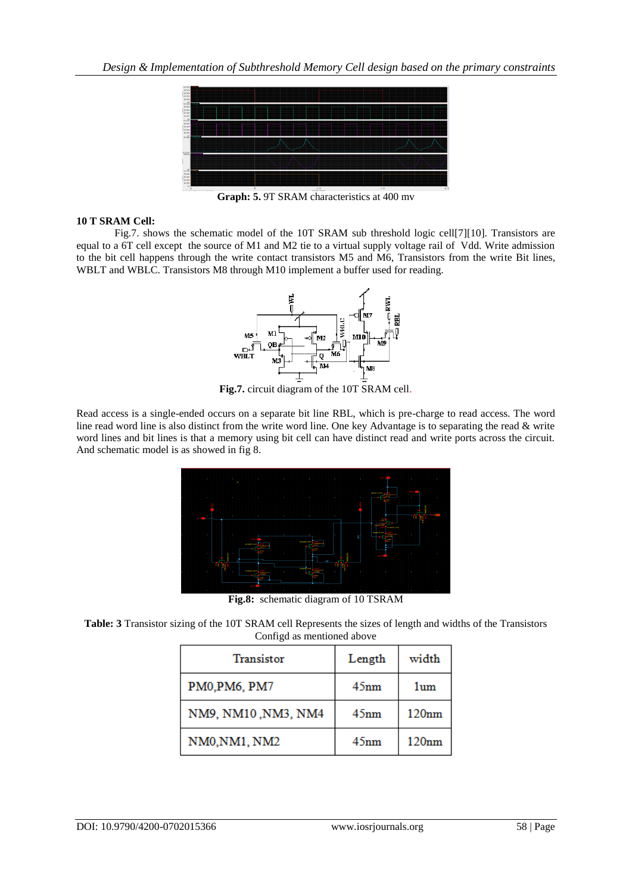

**Graph: 5.** 9T SRAM characteristics at 400 mv

## **10 T SRAM Cell:**

Fig.7. shows the schematic model of the 10T SRAM sub threshold logic cell[7][10]. Transistors are equal to a 6T cell except the source of M1 and M2 tie to a virtual supply voltage rail of Vdd. Write admission to the bit cell happens through the write contact transistors M5 and M6, Transistors from the write Bit lines, WBLT and WBLC. Transistors M8 through M10 implement a buffer used for reading.



**Fig.7.** circuit diagram of the 10T SRAM cell.

Read access is a single-ended occurs on a separate bit line RBL, which is pre-charge to read access. The word line read word line is also distinct from the write word line. One key Advantage is to separating the read & write word lines and bit lines is that a memory using bit cell can have distinct read and write ports across the circuit. And schematic model is as showed in fig 8.



**Fig.8:** schematic diagram of 10 TSRAM

**Table: 3** Transistor sizing of the 10T SRAM cell Represents the sizes of length and widths of the Transistors Configd as mentioned above

| Transistor          | Length | width |
|---------------------|--------|-------|
| PM0, PM6, PM7       | 45nm   | 1um   |
| NM9, NM10, NM3, NM4 | 45nm   | 120nm |
| NM0, NM1, NM2       | 45nm   | 120nm |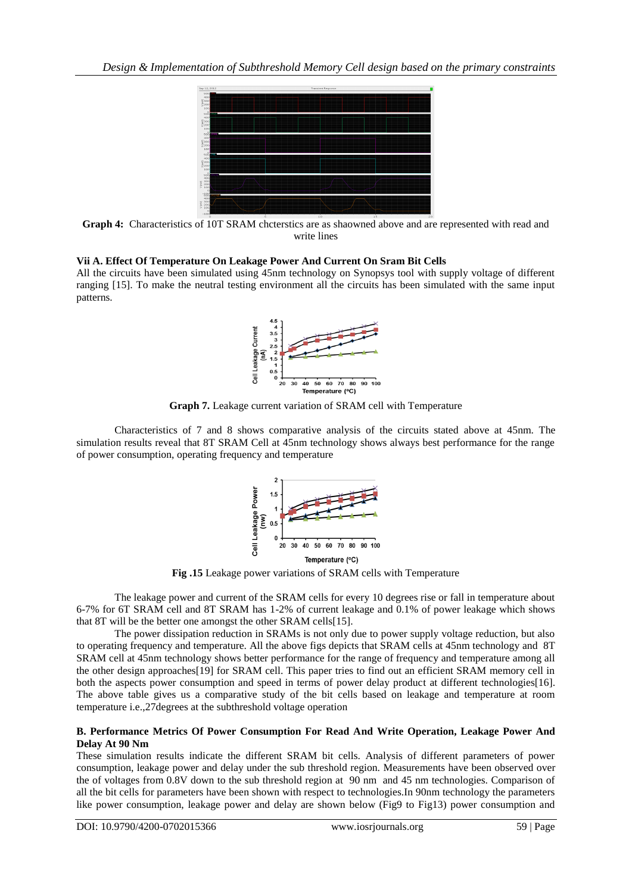

**Graph 4:** Characteristics of 10T SRAM chcterstics are as shaowned above and are represented with read and write lines

# **Vii A. Effect Of Temperature On Leakage Power And Current On Sram Bit Cells**

All the circuits have been simulated using 45nm technology on Synopsys tool with supply voltage of different ranging [15]. To make the neutral testing environment all the circuits has been simulated with the same input patterns.



**Graph 7.** Leakage current variation of SRAM cell with Temperature

Characteristics of 7 and 8 shows comparative analysis of the circuits stated above at 45nm. The simulation results reveal that 8T SRAM Cell at 45nm technology shows always best performance for the range of power consumption, operating frequency and temperature



**Fig .15** Leakage power variations of SRAM cells with Temperature

The leakage power and current of the SRAM cells for every 10 degrees rise or fall in temperature about 6-7% for 6T SRAM cell and 8T SRAM has 1-2% of current leakage and 0.1% of power leakage which shows that 8T will be the better one amongst the other SRAM cells[15].

The power dissipation reduction in SRAMs is not only due to power supply voltage reduction, but also to operating frequency and temperature. All the above figs depicts that SRAM cells at 45nm technology and 8T SRAM cell at 45nm technology shows better performance for the range of frequency and temperature among all the other design approaches[19] for SRAM cell. This paper tries to find out an efficient SRAM memory cell in both the aspects power consumption and speed in terms of power delay product at different technologies[16]. The above table gives us a comparative study of the bit cells based on leakage and temperature at room temperature i.e.,27degrees at the subthreshold voltage operation

# **B. Performance Metrics Of Power Consumption For Read And Write Operation, Leakage Power And Delay At 90 Nm**

These simulation results indicate the different SRAM bit cells. Analysis of different parameters of power consumption, leakage power and delay under the sub threshold region. Measurements have been observed over the of voltages from 0.8V down to the sub threshold region at 90 nm and 45 nm technologies. Comparison of all the bit cells for parameters have been shown with respect to technologies.In 90nm technology the parameters like power consumption, leakage power and delay are shown below (Fig9 to Fig13) power consumption and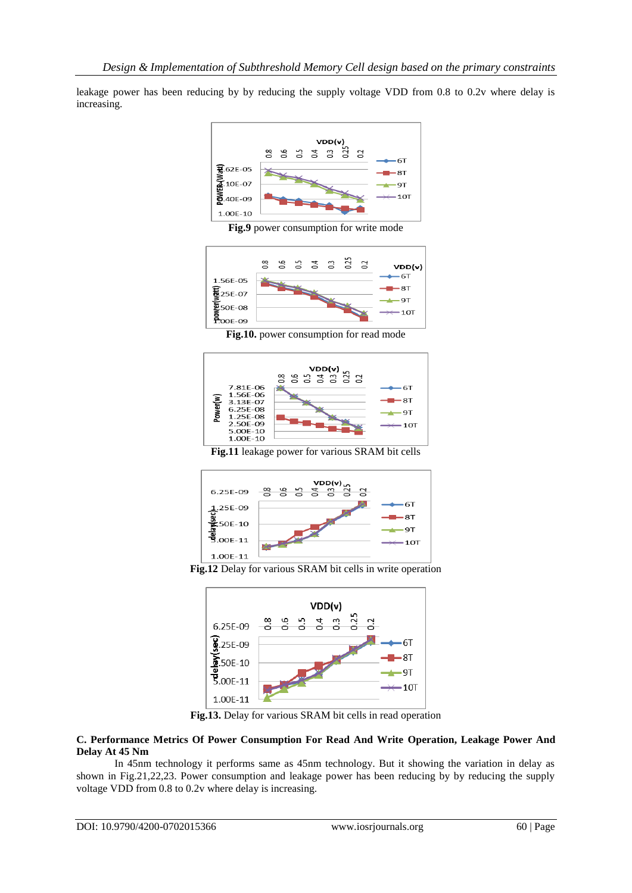leakage power has been reducing by by reducing the supply voltage VDD from 0.8 to 0.2v where delay is increasing.



**Fig.9** power consumption for write mode



**Fig.10.** power consumption for read mode



**Fig.11** leakage power for various SRAM bit cells



**Fig.12** Delay for various SRAM bit cells in write operation



**Fig.13.** Delay for various SRAM bit cells in read operation

## **C. Performance Metrics Of Power Consumption For Read And Write Operation, Leakage Power And Delay At 45 Nm**

In 45nm technology it performs same as 45nm technology. But it showing the variation in delay as shown in Fig.21,22,23. Power consumption and leakage power has been reducing by by reducing the supply voltage VDD from 0.8 to 0.2v where delay is increasing.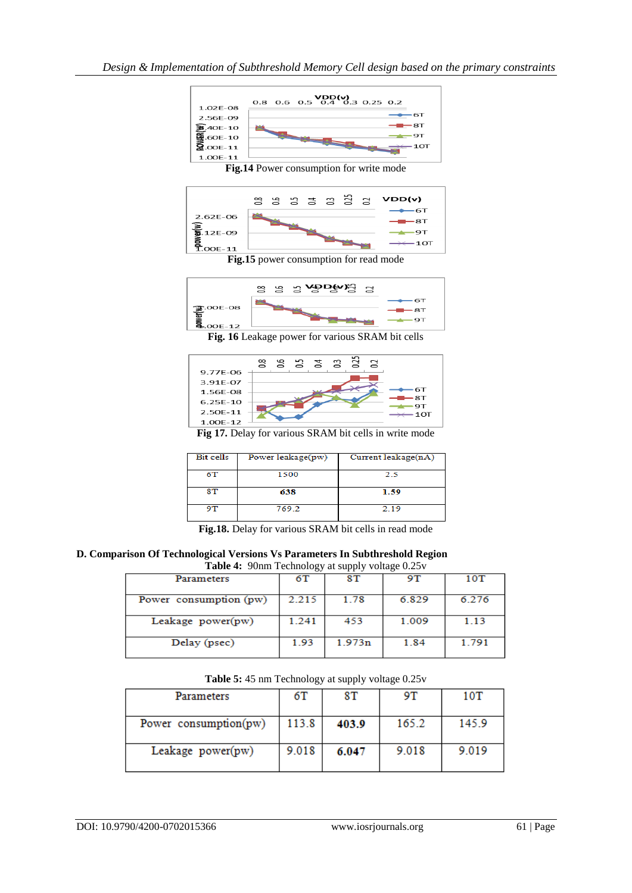



**Fig. 16** Leakage power for various SRAM bit cells



**Fig 17.** Delay for various SRAM bit cells in write mode

| <b>Bit cells</b> | Power leakage(pw) | Current leakage $(nA)$ |
|------------------|-------------------|------------------------|
| 6Т               | 1500              | 2.5                    |
| 8T               | 638               | 1.59                   |
| 9T               | 769.2             | 2.19                   |

**Fig.18.** Delay for various SRAM bit cells in read mode

**D. Comparison Of Technological Versions Vs Parameters In Subthreshold Region Table 4:** 90nm Technology at supply voltage 0.25v

|                        | ັ     | .      |       |       |
|------------------------|-------|--------|-------|-------|
| <b>Parameters</b>      | 6Т    | 8Т     | 9Τ    | 10T   |
| Power consumption (pw) | 2.215 | 1.78   | 6.829 | 6.276 |
| Leakage $power(pw)$    | 1.241 | 453    | 1.009 | 1.13  |
| Delay (psec)           | 1.93  | 1.973n | 1.84  | 1.791 |

| Parameters            | 6T    | 8T    | 9Τ    | 10T   |
|-----------------------|-------|-------|-------|-------|
|                       |       |       |       |       |
| Power consumption(pw) | 113.8 | 403.9 | 165.2 | 145.9 |
| Leakage power(pw)     | 9.018 | 6.047 | 9.018 | 9.019 |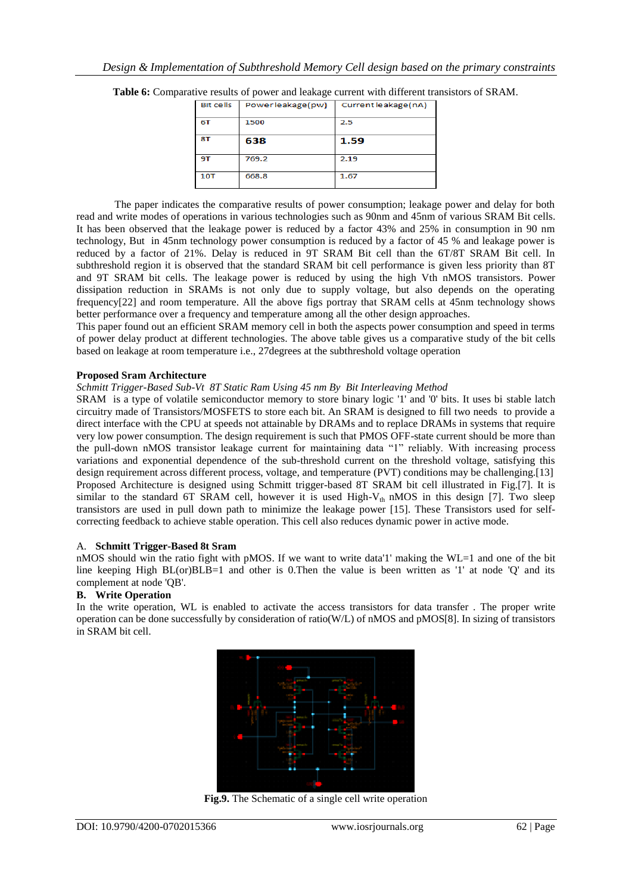| <b>Bit cells</b> | Powerleakage(pw) | Current leakage(nA) |
|------------------|------------------|---------------------|
| 6T               | 1500             | 2.5                 |
| 8T               | 638              | 1.59                |
| 9Т               | 769.2            | 2.19                |
| 10T              | 668.8            | 1.67                |

**Table 6:** Comparative results of power and leakage current with different transistors of SRAM.

The paper indicates the comparative results of power consumption; leakage power and delay for both read and write modes of operations in various technologies such as 90nm and 45nm of various SRAM Bit cells. It has been observed that the leakage power is reduced by a factor 43% and 25% in consumption in 90 nm technology, But in 45nm technology power consumption is reduced by a factor of 45 % and leakage power is reduced by a factor of 21%. Delay is reduced in 9T SRAM Bit cell than the 6T/8T SRAM Bit cell. In subthreshold region it is observed that the standard SRAM bit cell performance is given less priority than 8T and 9T SRAM bit cells. The leakage power is reduced by using the high Vth nMOS transistors. Power dissipation reduction in SRAMs is not only due to supply voltage, but also depends on the operating frequency[22] and room temperature. All the above figs portray that SRAM cells at 45nm technology shows better performance over a frequency and temperature among all the other design approaches.

This paper found out an efficient SRAM memory cell in both the aspects power consumption and speed in terms of power delay product at different technologies. The above table gives us a comparative study of the bit cells based on leakage at room temperature i.e., 27degrees at the subthreshold voltage operation

## **Proposed Sram Architecture**

*Schmitt Trigger-Based Sub-Vt 8T Static Ram Using 45 nm By Bit Interleaving Method*

SRAM is a type of volatile semiconductor memory to store binary logic '1' and '0' bits. It uses bi stable latch circuitry made of Transistors/MOSFETS to store each bit. An SRAM is designed to fill two needs to provide a direct interface with the CPU at speeds not attainable by DRAMs and to replace DRAMs in systems that require very low power consumption. The design requirement is such that PMOS OFF-state current should be more than the pull-down nMOS transistor leakage current for maintaining data "1" reliably. With increasing process variations and exponential dependence of the sub-threshold current on the threshold voltage, satisfying this design requirement across different process, voltage, and temperature (PVT) conditions may be challenging.[13] Proposed Architecture is designed using Schmitt trigger-based 8T SRAM bit cell illustrated in Fig.[7]. It is similar to the standard 6T SRAM cell, however it is used High- $V_{th}$  nMOS in this design [7]. Two sleep transistors are used in pull down path to minimize the leakage power [15]. These Transistors used for selfcorrecting feedback to achieve stable operation. This cell also reduces dynamic power in active mode.

# A. **Schmitt Trigger-Based 8t Sram**

nMOS should win the ratio fight with pMOS. If we want to write data'1' making the WL=1 and one of the bit line keeping High BL(or)BLB=1 and other is 0.Then the value is been written as '1' at node 'Q' and its complement at node 'QB'.

# **B. Write Operation**

In the write operation, WL is enabled to activate the access transistors for data transfer . The proper write operation can be done successfully by consideration of ratio(W/L) of nMOS and pMOS[8]. In sizing of transistors in SRAM bit cell.



**Fig.9.** The Schematic of a single cell write operation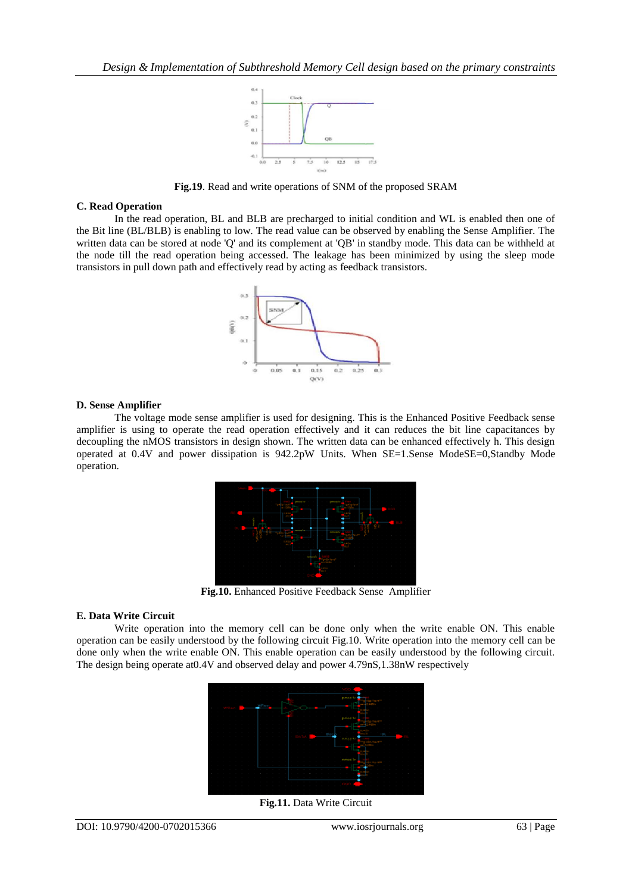

**Fig.19**. Read and write operations of SNM of the proposed SRAM

#### **C. Read Operation**

In the read operation, BL and BLB are precharged to initial condition and WL is enabled then one of the Bit line (BL/BLB) is enabling to low. The read value can be observed by enabling the Sense Amplifier. The written data can be stored at node 'Q' and its complement at 'QB' in standby mode. This data can be withheld at the node till the read operation being accessed. The leakage has been minimized by using the sleep mode transistors in pull down path and effectively read by acting as feedback transistors.



#### **D. Sense Amplifier**

The voltage mode sense amplifier is used for designing. This is the Enhanced Positive Feedback sense amplifier is using to operate the read operation effectively and it can reduces the bit line capacitances by decoupling the nMOS transistors in design shown. The written data can be enhanced effectively h. This design operated at 0.4V and power dissipation is 942.2pW Units. When SE=1.Sense ModeSE=0,Standby Mode operation.



**Fig.10.** Enhanced Positive Feedback Sense Amplifier

# **E. Data Write Circuit**

Write operation into the memory cell can be done only when the write enable ON. This enable operation can be easily understood by the following circuit Fig.10. Write operation into the memory cell can be done only when the write enable ON. This enable operation can be easily understood by the following circuit. The design being operate at0.4V and observed delay and power 4.79nS,1.38nW respectively



**Fig.11.** Data Write Circuit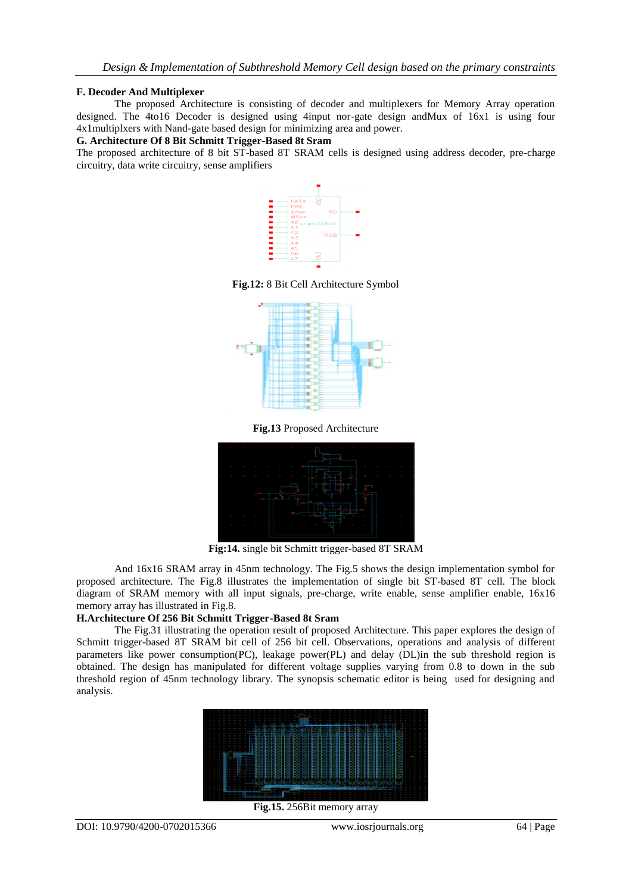#### **F. Decoder And Multiplexer**

The proposed Architecture is consisting of decoder and multiplexers for Memory Array operation designed. The 4to16 Decoder is designed using 4input nor-gate design andMux of 16x1 is using four 4x1multiplxers with Nand-gate based design for minimizing area and power.

#### **G. Architecture Of 8 Bit Schmitt Trigger-Based 8t Sram**

The proposed architecture of 8 bit ST-based 8T SRAM cells is designed using address decoder, pre-charge circuitry, data write circuitry, sense amplifiers



**Fig.12:** 8 Bit Cell Architecture Symbol



**Fig.13** Proposed Architecture



**Fig:14.** single bit Schmitt trigger-based 8T SRAM

And 16x16 SRAM array in 45nm technology. The Fig.5 shows the design implementation symbol for proposed architecture. The Fig.8 illustrates the implementation of single bit ST-based 8T cell. The block diagram of SRAM memory with all input signals, pre-charge, write enable, sense amplifier enable, 16x16 memory array has illustrated in Fig.8.

# **H.Architecture Of 256 Bit Schmitt Trigger-Based 8t Sram**

The Fig.31 illustrating the operation result of proposed Architecture. This paper explores the design of Schmitt trigger-based 8T SRAM bit cell of 256 bit cell. Observations, operations and analysis of different parameters like power consumption(PC), leakage power(PL) and delay (DL)in the sub threshold region is obtained. The design has manipulated for different voltage supplies varying from 0.8 to down in the sub threshold region of 45nm technology library. The synopsis schematic editor is being used for designing and analysis.



**Fig.15.** 256Bit memory array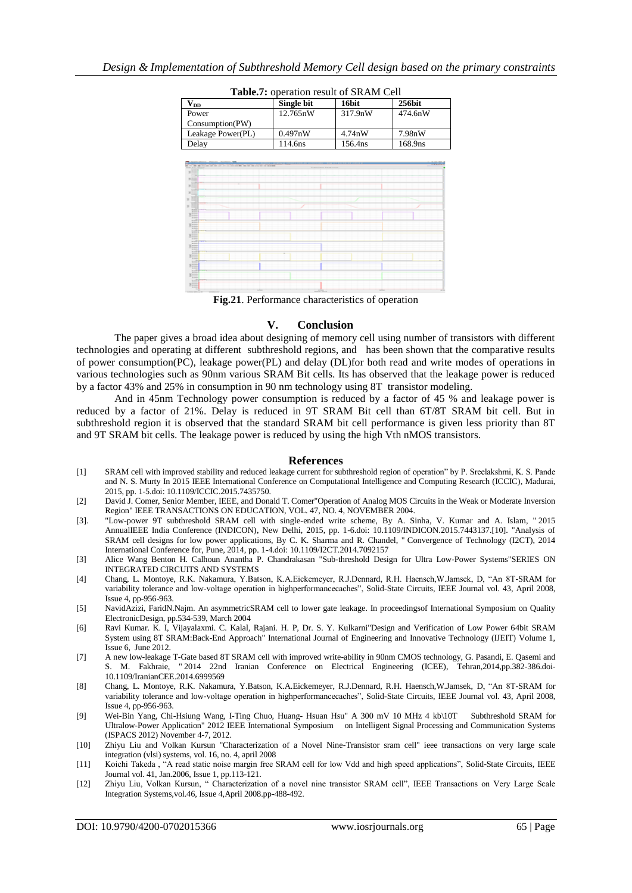| $\mathbf{V_{DD}}$                               | Single bit                                                                                                                                                                                                                                                                                                                                                      | 16bit   | 256bit  |
|-------------------------------------------------|-----------------------------------------------------------------------------------------------------------------------------------------------------------------------------------------------------------------------------------------------------------------------------------------------------------------------------------------------------------------|---------|---------|
| Power                                           | 12.765nW                                                                                                                                                                                                                                                                                                                                                        | 317.9nW | 474.6nW |
| Consumption(PW)                                 |                                                                                                                                                                                                                                                                                                                                                                 |         |         |
| Leakage Power(PL)                               | 0.497nW                                                                                                                                                                                                                                                                                                                                                         | 4.74nW  | 7.98nW  |
| Delay                                           | 114.6ns                                                                                                                                                                                                                                                                                                                                                         | 156.4ns | 168.9ns |
|                                                 |                                                                                                                                                                                                                                                                                                                                                                 |         |         |
| THE ART THE REAL PRODUCTS AND THE REAL PROPERTY | <b>William All Ave. Making a model</b>                                                                                                                                                                                                                                                                                                                          |         | ----    |
|                                                 |                                                                                                                                                                                                                                                                                                                                                                 |         |         |
|                                                 |                                                                                                                                                                                                                                                                                                                                                                 |         |         |
|                                                 |                                                                                                                                                                                                                                                                                                                                                                 |         |         |
|                                                 |                                                                                                                                                                                                                                                                                                                                                                 |         |         |
|                                                 |                                                                                                                                                                                                                                                                                                                                                                 |         |         |
| --<br>$\frac{1}{2}$                             |                                                                                                                                                                                                                                                                                                                                                                 |         |         |
| Ē                                               |                                                                                                                                                                                                                                                                                                                                                                 |         |         |
| $-111$                                          |                                                                                                                                                                                                                                                                                                                                                                 |         |         |
| 코<br><b>KEE</b>                                 |                                                                                                                                                                                                                                                                                                                                                                 |         |         |
| $1 - 1$                                         |                                                                                                                                                                                                                                                                                                                                                                 |         |         |
|                                                 |                                                                                                                                                                                                                                                                                                                                                                 |         |         |
|                                                 |                                                                                                                                                                                                                                                                                                                                                                 |         |         |
|                                                 |                                                                                                                                                                                                                                                                                                                                                                 |         |         |
| dia dia dia Granda                              |                                                                                                                                                                                                                                                                                                                                                                 |         |         |
|                                                 |                                                                                                                                                                                                                                                                                                                                                                 |         |         |
| $-$                                             | $\frac{1}{2} \sum_{i=1}^{n} \frac{1}{2} \sum_{i=1}^{n} \frac{1}{2} \sum_{i=1}^{n} \frac{1}{2} \sum_{i=1}^{n} \frac{1}{2} \sum_{i=1}^{n} \frac{1}{2} \sum_{i=1}^{n} \frac{1}{2} \sum_{i=1}^{n} \frac{1}{2} \sum_{i=1}^{n} \frac{1}{2} \sum_{i=1}^{n} \frac{1}{2} \sum_{i=1}^{n} \frac{1}{2} \sum_{i=1}^{n} \frac{1}{2} \sum_{i=1}^{n} \frac{1}{2} \sum_{i=1}^{n$ | sine.   |         |
| <b>Witness</b><br><b>CATALOG</b>                |                                                                                                                                                                                                                                                                                                                                                                 |         |         |

**Table.7:** operation result of SRAM Cell

**Fig.21**. Performance characteristics of operation

#### **V. Conclusion**

The paper gives a broad idea about designing of memory cell using number of transistors with different technologies and operating at different subthreshold regions, and has been shown that the comparative results of power consumption(PC), leakage power(PL) and delay (DL)for both read and write modes of operations in various technologies such as 90nm various SRAM Bit cells. Its has observed that the leakage power is reduced by a factor 43% and 25% in consumption in 90 nm technology using 8T transistor modeling.

And in 45nm Technology power consumption is reduced by a factor of 45 % and leakage power is reduced by a factor of 21%. Delay is reduced in 9T SRAM Bit cell than 6T/8T SRAM bit cell. But in subthreshold region it is observed that the standard SRAM bit cell performance is given less priority than 8T and 9T SRAM bit cells. The leakage power is reduced by using the high Vth nMOS transistors.

#### **References**

- [1] SRAM cell with improved stability and reduced leakage current for subthreshold region of operation" by P. Sreelakshmi, K. S. Pande and N. S. Murty In 2015 IEEE International Conference on Computational Intelligence and Computing Research (ICCIC), Madurai, 2015, pp. 1-5.doi: 10.1109/ICCIC.2015.7435750.
- [2] David J. Comer, Senior Member, IEEE, and Donald T. Comer"Operation of Analog MOS Circuits in the Weak or Moderate Inversion Region" IEEE TRANSACTIONS ON EDUCATION, VOL. 47, NO. 4, NOVEMBER 2004.
- [3]. "Low-power 9T subthreshold SRAM cell with single-ended write scheme, By A. Sinha, V. Kumar and A. Islam, " 2015 AnnualIEEE India Conference (INDICON), New Delhi, 2015, pp. 1-6.doi: 10.1109/INDICON.2015.7443137.[10]. "Analysis of SRAM cell designs for low power applications, By C. K. Sharma and R. Chandel, " Convergence of Technology (I2CT), 2014 International Conference for, Pune, 2014, pp. 1-4.doi: 10.1109/I2CT.2014.7092157
- [3] Alice Wang Benton H. Calhoun Anantha P. Chandrakasan "Sub-threshold Design for Ultra Low-Power Systems"SERIES ON INTEGRATED CIRCUITS AND SYSTEMS
- [4] Chang, L. Montoye, R.K. Nakamura, Y.Batson, K.A.Eickemeyer, R.J.Dennard, R.H. Haensch,W.Jamsek, D, "An 8T-SRAM for variability tolerance and low-voltage operation in highperformancecaches", Solid-State Circuits, IEEE Journal vol. 43, April 2008, Issue 4, pp-956-963.
- [5] NavidAzizi, FaridN.Najm. An asymmetricSRAM cell to lower gate leakage. In proceedingsof International Symposium on Quality ElectronicDesign, pp.534-539, March 2004
- [6] Ravi Kumar. K. I, Vijayalaxmi. C. Kalal, Rajani. H. P, Dr. S. Y. Kulkarni"Design and Verification of Low Power 64bit SRAM System using 8T SRAM:Back-End Approach" International Journal of Engineering and Innovative Technology (IJEIT) Volume 1, Issue 6, June 2012.
- [7] A new low-leakage T-Gate based 8T SRAM cell with improved write-ability in 90nm CMOS technology, G. Pasandi, E. Qasemi and S. M. Fakhraie, " 2014 22nd Iranian Conference on Electrical Engineering (ICEE), Tehran,2014,pp.382-386.doi-10.1109/IranianCEE.2014.6999569
- [8] Chang, L. Montoye, R.K. Nakamura, Y.Batson, K.A.Eickemeyer, R.J.Dennard, R.H. Haensch,W.Jamsek, D, "An 8T-SRAM for variability tolerance and low-voltage operation in highperformancecaches", Solid-State Circuits, IEEE Journal vol. 43, April 2008, Issue 4, pp-956-963.
- [9] Wei-Bin Yang, Chi-Hsiung Wang, I-Ting Chuo, Huang- Hsuan Hsu" A 300 mV 10 MHz 4 kb\10T Subthreshold SRAM for Ultralow-Power Application" 2012 IEEE International Symposium on Intelligent Signal Processing and Communication Systems (ISPACS 2012) November 4-7, 2012.
- [10] Zhiyu Liu and Volkan Kursun "Characterization of a Novel Nine-Transistor sram cell" ieee transactions on very large scale integration (vlsi) systems, vol. 16, no. 4, april 2008
- [11] Koichi Takeda , "A read static noise margin free SRAM cell for low Vdd and high speed applications", Solid-State Circuits, IEEE Journal vol. 41, Jan.2006, Issue 1, pp.113-121.
- [12] Zhiyu Liu, Volkan Kursun, " Characterization of a novel nine transistor SRAM cell", IEEE Transactions on Very Large Scale Integration Systems,vol.46, Issue 4,April 2008.pp-488-492.